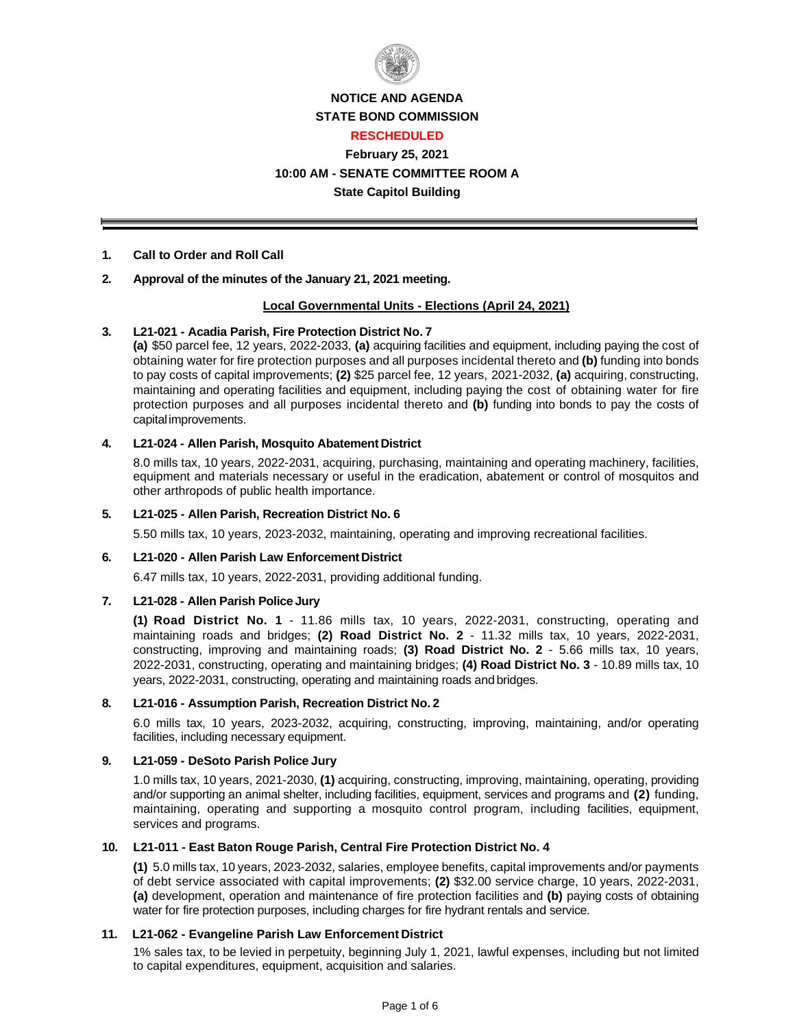

## **NOTICE AND AGENDA STATE BOND COMMISSION**

#### **RESCHEDULED**

## **February 25, 2021 10:00 AM - SENATE COMMITTEE ROOM A**

## **State Capitol Building**

## **1. Call to Order and Roll Call**

## **2. Approval of the minutes of the January 21, 2021 meeting.**

## **Local Governmental Units - Elections (April 24, 2021)**

## **3. L21-021 - Acadia Parish, Fire Protection District No. 7**

**(a)** \$50 parcel fee, 12 years, 2022-2033, **(a)** acquiring facilities and equipment, including paying the cost of obtaining water for fire protection purposes and all purposes incidental thereto and **(b)** funding into bonds to pay costs of capital improvements; **(2)** \$25 parcel fee, 12 years, 2021-2032, **(a)** acquiring, constructing, maintaining and operating facilities and equipment, including paying the cost of obtaining water for fire protection purposes and all purposes incidental thereto and **(b)** funding into bonds to pay the costs of capital improvements.

### **4. L21-024 - Allen Parish, Mosquito Abatement District**

8.0 mills tax, 10 years, 2022-2031, acquiring, purchasing, maintaining and operating machinery, facilities, equipment and materials necessary or useful in the eradication, abatement or control of mosquitos and other arthropods of public health importance.

### **5. L21-025 - Allen Parish, Recreation District No. 6**

5.50 mills tax, 10 years, 2023-2032, maintaining, operating and improving recreational facilities.

### **6. L21-020 - Allen Parish Law Enforcement District**

6.47 mills tax, 10 years, 2022-2031, providing additional funding.

### **7. L21-028 - Allen Parish Police Jury**

**(1) Road District No. 1** - 11.86 mills tax, 10 years, 2022-2031, constructing, operating and maintaining roads and bridges; **(2) Road District No. 2** - 11.32 mills tax, 10 years, 2022-2031, constructing, improving and maintaining roads; **(3) Road District No. 2** - 5.66 mills tax, 10 years, 2022-2031, constructing, operating and maintaining bridges; **(4) Road District No. 3** - 10.89 mills tax, 10 years, 2022-2031, constructing, operating and maintaining roads and bridges.

### **8. L21-016 - Assumption Parish, Recreation District No. 2**

6.0 mills tax, 10 years, 2023-2032, acquiring, constructing, improving, maintaining, and/or operating facilities, including necessary equipment.

### **9. L21-059 - DeSoto Parish Police Jury**

1.0 mills tax, 10 years, 2021-2030, **(1)** acquiring, constructing, improving, maintaining, operating, providing and/or supporting an animal shelter, including facilities, equipment, services and programs and **(2)** funding, maintaining, operating and supporting a mosquito control program, including facilities, equipment, services and programs.

### **10. L21-011 - East Baton Rouge Parish, Central Fire Protection District No. 4**

**(1)** 5.0 mills tax, 10 years, 2023-2032, salaries, employee benefits, capital improvements and/or payments of debt service associated with capital improvements; **(2)** \$32.00 service charge, 10 years, 2022-2031, **(a)** development, operation and maintenance of fire protection facilities and **(b)** paying costs of obtaining water for fire protection purposes, including charges for fire hydrant rentals and service.

### **11. L21-062 - Evangeline Parish Law Enforcement District**

1% sales tax, to be levied in perpetuity, beginning July 1, 2021, lawful expenses, including but not limited to capital expenditures, equipment, acquisition and salaries.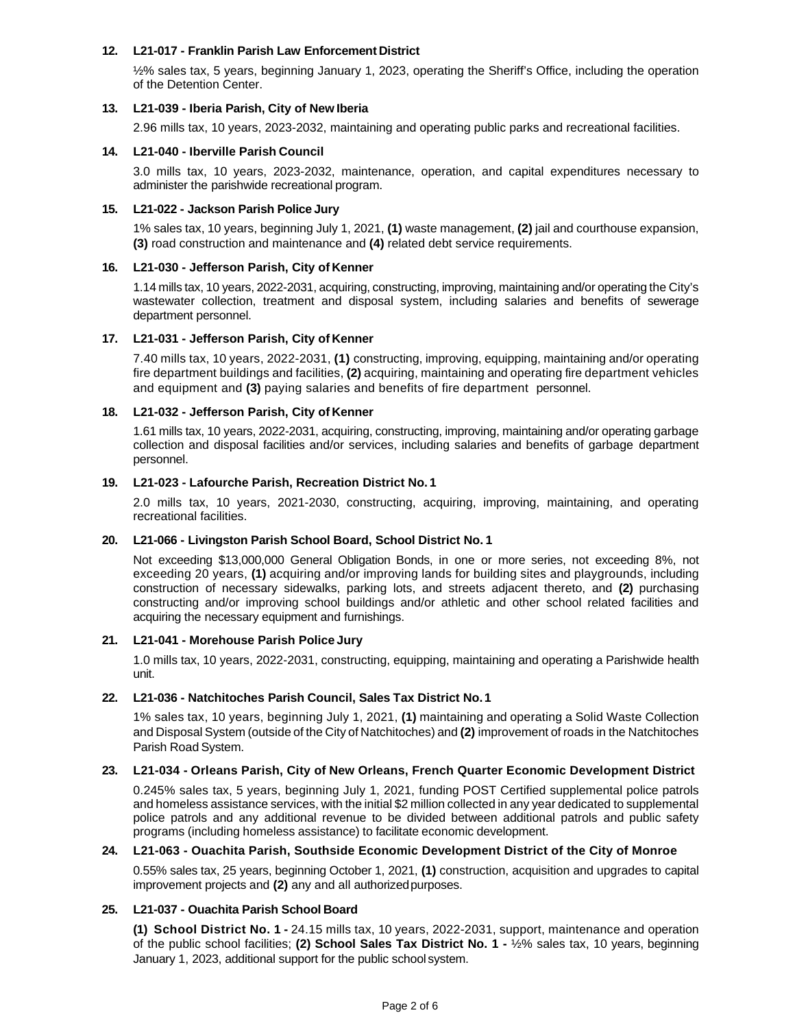#### **12. L21-017 - Franklin Parish Law Enforcement District**

½% sales tax, 5 years, beginning January 1, 2023, operating the Sheriff's Office, including the operation of the Detention Center.

#### **13. L21-039 - Iberia Parish, City of New Iberia**

2.96 mills tax, 10 years, 2023-2032, maintaining and operating public parks and recreational facilities.

#### **14. L21-040 - Iberville Parish Council**

3.0 mills tax, 10 years, 2023-2032, maintenance, operation, and capital expenditures necessary to administer the parishwide recreational program.

#### **15. L21-022 - Jackson Parish Police Jury**

1% sales tax, 10 years, beginning July 1, 2021, **(1)** waste management, **(2)** jail and courthouse expansion, **(3)** road construction and maintenance and **(4)** related debt service requirements.

#### **16. L21-030 - Jefferson Parish, City of Kenner**

1.14 mills tax, 10 years, 2022-2031, acquiring, constructing, improving, maintaining and/or operating the City's wastewater collection, treatment and disposal system, including salaries and benefits of sewerage department personnel.

#### **17. L21-031 - Jefferson Parish, City of Kenner**

7.40 mills tax, 10 years, 2022-2031, **(1)** constructing, improving, equipping, maintaining and/or operating fire department buildings and facilities, **(2)** acquiring, maintaining and operating fire department vehicles and equipment and **(3)** paying salaries and benefits of fire department personnel.

#### **18. L21-032 - Jefferson Parish, City of Kenner**

1.61 mills tax, 10 years, 2022-2031, acquiring, constructing, improving, maintaining and/or operating garbage collection and disposal facilities and/or services, including salaries and benefits of garbage department personnel.

#### **19. L21-023 - Lafourche Parish, Recreation District No. 1**

2.0 mills tax, 10 years, 2021-2030, constructing, acquiring, improving, maintaining, and operating recreational facilities.

### **20. L21-066 - Livingston Parish School Board, School District No. 1**

Not exceeding \$13,000,000 General Obligation Bonds, in one or more series, not exceeding 8%, not exceeding 20 years, **(1)** acquiring and/or improving lands for building sites and playgrounds, including construction of necessary sidewalks, parking lots, and streets adjacent thereto, and **(2)** purchasing constructing and/or improving school buildings and/or athletic and other school related facilities and acquiring the necessary equipment and furnishings.

#### **21. L21-041 - Morehouse Parish Police Jury**

1.0 mills tax, 10 years, 2022-2031, constructing, equipping, maintaining and operating a Parishwide health unit.

#### **22. L21-036 - Natchitoches Parish Council, Sales Tax District No. 1**

1% sales tax, 10 years, beginning July 1, 2021, **(1)** maintaining and operating a Solid Waste Collection and Disposal System (outside of the City of Natchitoches) and **(2)** improvement of roads in the Natchitoches Parish Road System.

#### **23. L21-034 - Orleans Parish, City of New Orleans, French Quarter Economic Development District**

0.245% sales tax, 5 years, beginning July 1, 2021, funding POST Certified supplemental police patrols and homeless assistance services, with the initial \$2 million collected in any year dedicated to supplemental police patrols and any additional revenue to be divided between additional patrols and public safety programs (including homeless assistance) to facilitate economic development.

#### **24. L21-063 - Ouachita Parish, Southside Economic Development District of the City of Monroe**

0.55% sales tax, 25 years, beginning October 1, 2021, **(1)** construction, acquisition and upgrades to capital improvement projects and **(2)** any and all authorized purposes.

### **25. L21-037 - Ouachita Parish School Board**

**(1) School District No. 1 -** 24.15 mills tax, 10 years, 2022-2031, support, maintenance and operation of the public school facilities; **(2) School Sales Tax District No. 1 -** ½% sales tax, 10 years, beginning January 1, 2023, additional support for the public school system.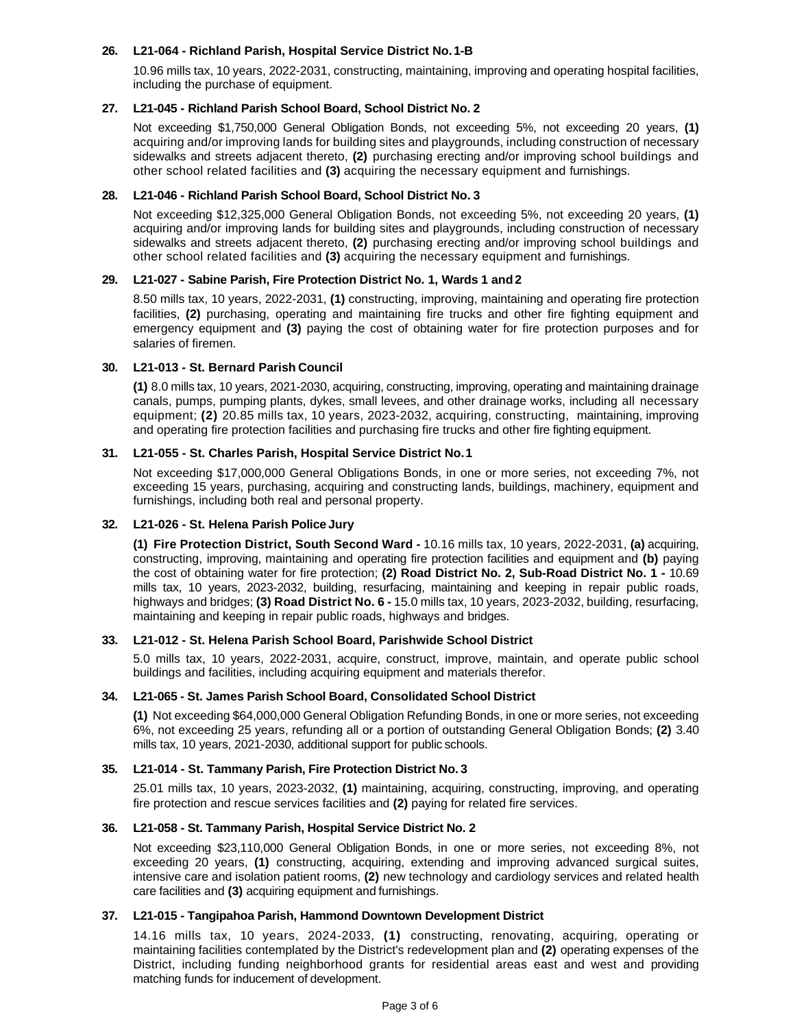#### **26. L21-064 - Richland Parish, Hospital Service District No. 1-B**

10.96 mills tax, 10 years, 2022-2031, constructing, maintaining, improving and operating hospital facilities, including the purchase of equipment.

#### **27. L21-045 - Richland Parish School Board, School District No. 2**

Not exceeding \$1,750,000 General Obligation Bonds, not exceeding 5%, not exceeding 20 years, **(1)**  acquiring and/or improving lands for building sites and playgrounds, including construction of necessary sidewalks and streets adjacent thereto, **(2)** purchasing erecting and/or improving school buildings and other school related facilities and **(3)** acquiring the necessary equipment and furnishings.

#### **28. L21-046 - Richland Parish School Board, School District No. 3**

Not exceeding \$12,325,000 General Obligation Bonds, not exceeding 5%, not exceeding 20 years, **(1)**  acquiring and/or improving lands for building sites and playgrounds, including construction of necessary sidewalks and streets adjacent thereto, **(2)** purchasing erecting and/or improving school buildings and other school related facilities and **(3)** acquiring the necessary equipment and furnishings.

#### **29. L21-027 - Sabine Parish, Fire Protection District No. 1, Wards 1 and 2**

8.50 mills tax, 10 years, 2022-2031, **(1)** constructing, improving, maintaining and operating fire protection facilities, **(2)** purchasing, operating and maintaining fire trucks and other fire fighting equipment and emergency equipment and **(3)** paying the cost of obtaining water for fire protection purposes and for salaries of firemen.

### **30. L21-013 - St. Bernard Parish Council**

**(1)** 8.0 mills tax, 10 years, 2021-2030, acquiring, constructing, improving, operating and maintaining drainage canals, pumps, pumping plants, dykes, small levees, and other drainage works, including all necessary equipment; **(2)** 20.85 mills tax, 10 years, 2023-2032, acquiring, constructing, maintaining, improving and operating fire protection facilities and purchasing fire trucks and other fire fighting equipment.

#### **31. L21-055 - St. Charles Parish, Hospital Service District No. 1**

Not exceeding \$17,000,000 General Obligations Bonds, in one or more series, not exceeding 7%, not exceeding 15 years, purchasing, acquiring and constructing lands, buildings, machinery, equipment and furnishings, including both real and personal property.

### **32. L21-026 - St. Helena Parish Police Jury**

**(1) Fire Protection District, South Second Ward -** 10.16 mills tax, 10 years, 2022-2031, **(a)** acquiring, constructing, improving, maintaining and operating fire protection facilities and equipment and **(b)** paying the cost of obtaining water for fire protection; **(2) Road District No. 2, Sub-Road District No. 1 -** 10.69 mills tax, 10 years, 2023-2032, building, resurfacing, maintaining and keeping in repair public roads, highways and bridges; **(3) Road District No. 6 -** 15.0 mills tax, 10 years, 2023-2032, building, resurfacing, maintaining and keeping in repair public roads, highways and bridges.

#### **33. L21-012 - St. Helena Parish School Board, Parishwide School District**

5.0 mills tax, 10 years, 2022-2031, acquire, construct, improve, maintain, and operate public school buildings and facilities, including acquiring equipment and materials therefor.

#### **34. L21-065 - St. James Parish School Board, Consolidated School District**

**(1)** Not exceeding \$64,000,000 General Obligation Refunding Bonds, in one or more series, not exceeding 6%, not exceeding 25 years, refunding all or a portion of outstanding General Obligation Bonds; **(2)** 3.40 mills tax, 10 years, 2021-2030, additional support for public schools.

#### **35. L21-014 - St. Tammany Parish, Fire Protection District No. 3**

25.01 mills tax, 10 years, 2023-2032, **(1)** maintaining, acquiring, constructing, improving, and operating fire protection and rescue services facilities and **(2)** paying for related fire services.

#### **36. L21-058 - St. Tammany Parish, Hospital Service District No. 2**

Not exceeding \$23,110,000 General Obligation Bonds, in one or more series, not exceeding 8%, not exceeding 20 years, **(1)** constructing, acquiring, extending and improving advanced surgical suites, intensive care and isolation patient rooms, **(2)** new technology and cardiology services and related health care facilities and **(3)** acquiring equipment and furnishings.

#### **37. L21-015 - Tangipahoa Parish, Hammond Downtown Development District**

14.16 mills tax, 10 years, 2024-2033, **(1)** constructing, renovating, acquiring, operating or maintaining facilities contemplated by the District's redevelopment plan and **(2)** operating expenses of the District, including funding neighborhood grants for residential areas east and west and providing matching funds for inducement of development.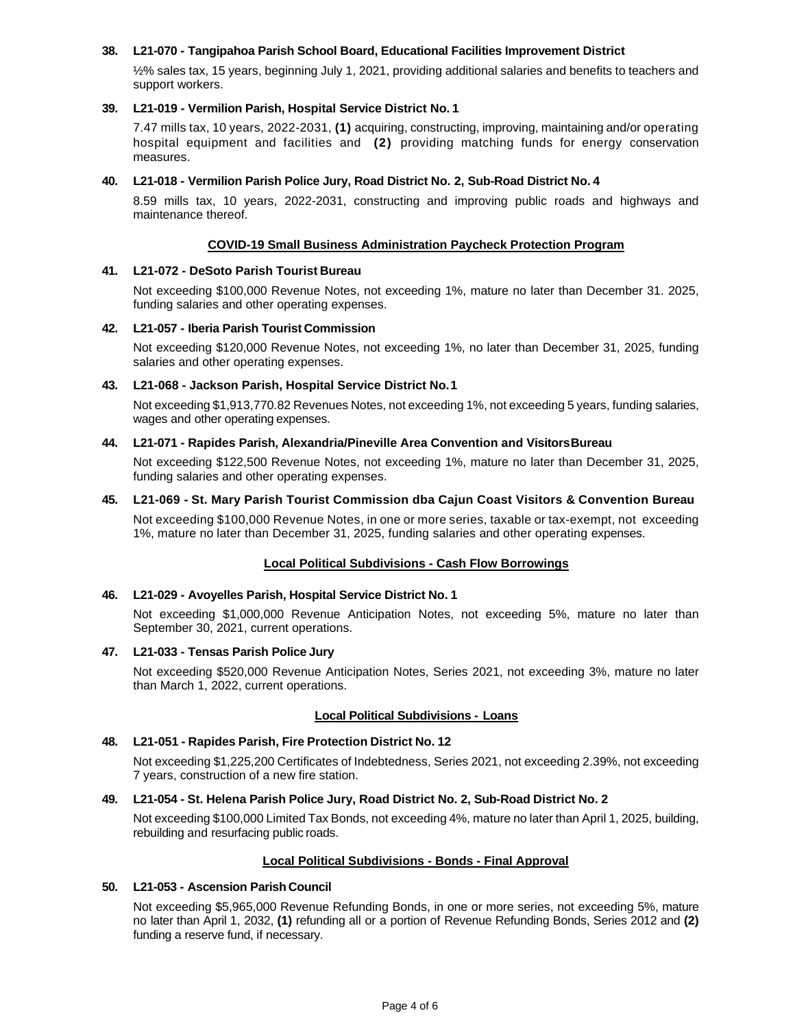#### **38. L21-070 - Tangipahoa Parish School Board, Educational Facilities Improvement District**

½% sales tax, 15 years, beginning July 1, 2021, providing additional salaries and benefits to teachers and support workers.

#### **39. L21-019 - Vermilion Parish, Hospital Service District No. 1**

7.47 mills tax, 10 years, 2022-2031, **(1)** acquiring, constructing, improving, maintaining and/or operating hospital equipment and facilities and **(2)** providing matching funds for energy conservation measures.

#### **40. L21-018 - Vermilion Parish Police Jury, Road District No. 2, Sub-Road District No. 4**

8.59 mills tax, 10 years, 2022-2031, constructing and improving public roads and highways and maintenance thereof.

#### **COVID-19 Small Business Administration Paycheck Protection Program**

#### **41. L21-072 - DeSoto Parish Tourist Bureau**

Not exceeding \$100,000 Revenue Notes, not exceeding 1%, mature no later than December 31. 2025, funding salaries and other operating expenses.

#### **42. L21-057 - Iberia Parish Tourist Commission**

Not exceeding \$120,000 Revenue Notes, not exceeding 1%, no later than December 31, 2025, funding salaries and other operating expenses.

#### **43. L21-068 - Jackson Parish, Hospital Service District No. 1**

Not exceeding \$1,913,770.82 Revenues Notes, not exceeding 1%, not exceeding 5 years, funding salaries, wages and other operating expenses.

#### **44. L21-071 - Rapides Parish, Alexandria/Pineville Area Convention and Visitors Bureau**

Not exceeding \$122,500 Revenue Notes, not exceeding 1%, mature no later than December 31, 2025, funding salaries and other operating expenses.

#### **45. L21-069 - St. Mary Parish Tourist Commission dba Cajun Coast Visitors & Convention Bureau**

Not exceeding \$100,000 Revenue Notes, in one or more series, taxable or tax-exempt, not exceeding 1%, mature no later than December 31, 2025, funding salaries and other operating expenses.

### **Local Political Subdivisions - Cash Flow Borrowings**

#### **46. L21-029 - Avoyelles Parish, Hospital Service District No. 1**

Not exceeding \$1,000,000 Revenue Anticipation Notes, not exceeding 5%, mature no later than September 30, 2021, current operations.

#### **47. L21-033 - Tensas Parish Police Jury**

Not exceeding \$520,000 Revenue Anticipation Notes, Series 2021, not exceeding 3%, mature no later than March 1, 2022, current operations.

#### **Local Political Subdivisions - Loans**

#### **48. L21-051 - Rapides Parish, Fire Protection District No. 12**

Not exceeding \$1,225,200 Certificates of Indebtedness, Series 2021, not exceeding 2.39%, not exceeding 7 years, construction of a new fire station.

#### **49. L21-054 - St. Helena Parish Police Jury, Road District No. 2, Sub-Road District No. 2**

Not exceeding \$100,000 Limited Tax Bonds, not exceeding 4%, mature no later than April 1, 2025, building, rebuilding and resurfacing public roads.

### **Local Political Subdivisions - Bonds - Final Approval**

### **50. L21-053 - Ascension Parish Council**

Not exceeding \$5,965,000 Revenue Refunding Bonds, in one or more series, not exceeding 5%, mature no later than April 1, 2032, **(1)** refunding all or a portion of Revenue Refunding Bonds, Series 2012 and **(2)**  funding a reserve fund, if necessary.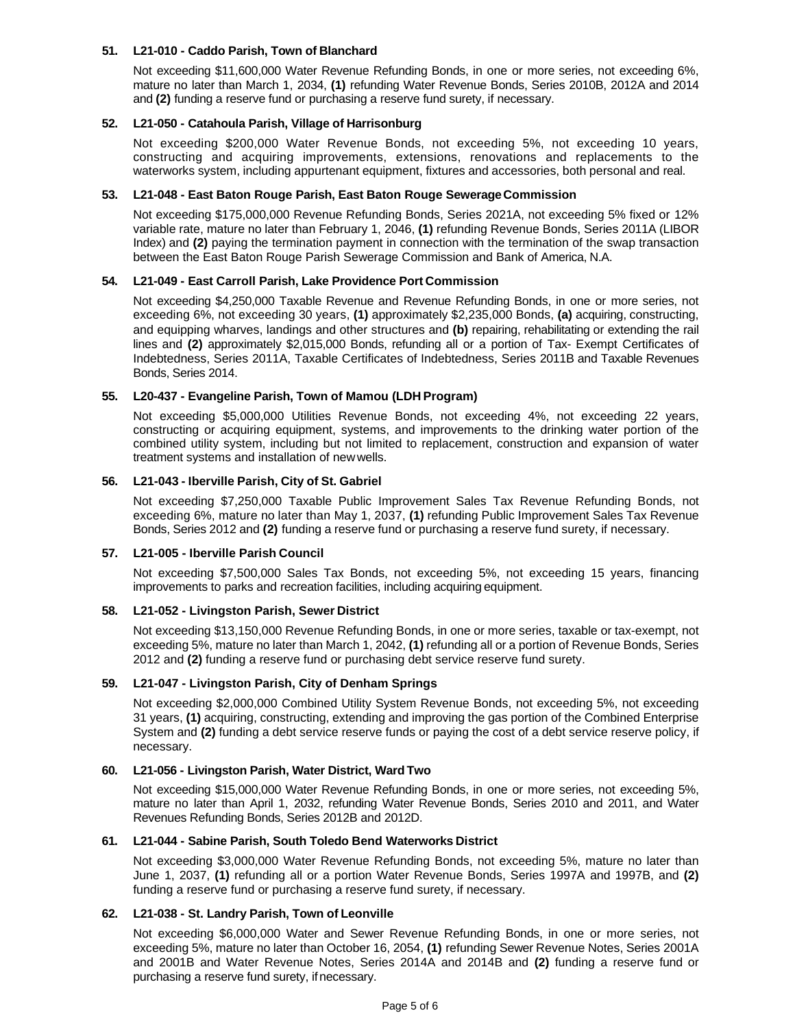#### **51. L21-010 - Caddo Parish, Town of Blanchard**

Not exceeding \$11,600,000 Water Revenue Refunding Bonds, in one or more series, not exceeding 6%, mature no later than March 1, 2034, **(1)** refunding Water Revenue Bonds, Series 2010B, 2012A and 2014 and **(2)** funding a reserve fund or purchasing a reserve fund surety, if necessary.

#### **52. L21-050 - Catahoula Parish, Village of Harrisonburg**

Not exceeding \$200,000 Water Revenue Bonds, not exceeding 5%, not exceeding 10 years, constructing and acquiring improvements, extensions, renovations and replacements to the waterworks system, including appurtenant equipment, fixtures and accessories, both personal and real.

#### **53. L21-048 - East Baton Rouge Parish, East Baton Rouge Sewerage Commission**

Not exceeding \$175,000,000 Revenue Refunding Bonds, Series 2021A, not exceeding 5% fixed or 12% variable rate, mature no later than February 1, 2046, **(1)** refunding Revenue Bonds, Series 2011A (LIBOR Index) and **(2)** paying the termination payment in connection with the termination of the swap transaction between the East Baton Rouge Parish Sewerage Commission and Bank of America, N.A.

#### **54. L21-049 - East Carroll Parish, Lake Providence Port Commission**

Not exceeding \$4,250,000 Taxable Revenue and Revenue Refunding Bonds, in one or more series, not exceeding 6%, not exceeding 30 years, **(1)** approximately \$2,235,000 Bonds, **(a)** acquiring, constructing, and equipping wharves, landings and other structures and **(b)** repairing, rehabilitating or extending the rail lines and **(2)** approximately \$2,015,000 Bonds, refunding all or a portion of Tax- Exempt Certificates of Indebtedness, Series 2011A, Taxable Certificates of Indebtedness, Series 2011B and Taxable Revenues Bonds, Series 2014.

#### **55. L20-437 - Evangeline Parish, Town of Mamou (LDH Program)**

Not exceeding \$5,000,000 Utilities Revenue Bonds, not exceeding 4%, not exceeding 22 years, constructing or acquiring equipment, systems, and improvements to the drinking water portion of the combined utility system, including but not limited to replacement, construction and expansion of water treatment systems and installation of new wells.

#### **56. L21-043 - Iberville Parish, City of St. Gabriel**

Not exceeding \$7,250,000 Taxable Public Improvement Sales Tax Revenue Refunding Bonds, not exceeding 6%, mature no later than May 1, 2037, **(1)** refunding Public Improvement Sales Tax Revenue Bonds, Series 2012 and **(2)** funding a reserve fund or purchasing a reserve fund surety, if necessary.

#### **57. L21-005 - Iberville Parish Council**

Not exceeding \$7,500,000 Sales Tax Bonds, not exceeding 5%, not exceeding 15 years, financing improvements to parks and recreation facilities, including acquiring equipment.

### **58. L21-052 - Livingston Parish, Sewer District**

Not exceeding \$13,150,000 Revenue Refunding Bonds, in one or more series, taxable or tax-exempt, not exceeding 5%, mature no later than March 1, 2042, **(1)** refunding all or a portion of Revenue Bonds, Series 2012 and **(2)** funding a reserve fund or purchasing debt service reserve fund surety.

#### **59. L21-047 - Livingston Parish, City of Denham Springs**

Not exceeding \$2,000,000 Combined Utility System Revenue Bonds, not exceeding 5%, not exceeding 31 years, **(1)** acquiring, constructing, extending and improving the gas portion of the Combined Enterprise System and **(2)** funding a debt service reserve funds or paying the cost of a debt service reserve policy, if necessary.

#### **60. L21-056 - Livingston Parish, Water District, Ward Two**

Not exceeding \$15,000,000 Water Revenue Refunding Bonds, in one or more series, not exceeding 5%, mature no later than April 1, 2032, refunding Water Revenue Bonds, Series 2010 and 2011, and Water Revenues Refunding Bonds, Series 2012B and 2012D.

#### **61. L21-044 - Sabine Parish, South Toledo Bend Waterworks District**

Not exceeding \$3,000,000 Water Revenue Refunding Bonds, not exceeding 5%, mature no later than June 1, 2037, **(1)** refunding all or a portion Water Revenue Bonds, Series 1997A and 1997B, and **(2)**  funding a reserve fund or purchasing a reserve fund surety, if necessary.

#### **62. L21-038 - St. Landry Parish, Town of Leonville**

Not exceeding \$6,000,000 Water and Sewer Revenue Refunding Bonds, in one or more series, not exceeding 5%, mature no later than October 16, 2054, **(1)** refunding Sewer Revenue Notes, Series 2001A and 2001B and Water Revenue Notes, Series 2014A and 2014B and **(2)** funding a reserve fund or purchasing a reserve fund surety, if necessary.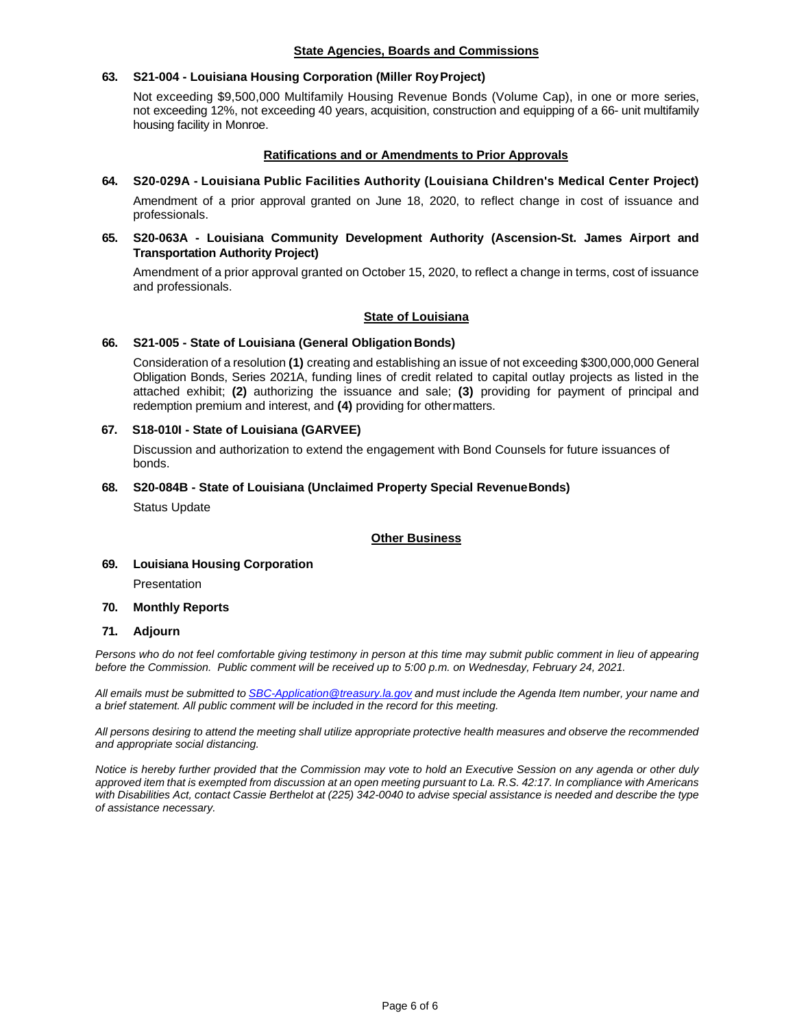#### **State Agencies, Boards and Commissions**

## **63. S21-004 - Louisiana Housing Corporation (Miller Roy Project)**

Not exceeding \$9,500,000 Multifamily Housing Revenue Bonds (Volume Cap), in one or more series, not exceeding 12%, not exceeding 40 years, acquisition, construction and equipping of a 66- unit multifamily housing facility in Monroe.

## **Ratifications and or Amendments to Prior Approvals**

## **64. S20-029A - Louisiana Public Facilities Authority (Louisiana Children's Medical Center Project)**

Amendment of a prior approval granted on June 18, 2020, to reflect change in cost of issuance and professionals.

## **65. S20-063A - Louisiana Community Development Authority (Ascension-St. James Airport and Transportation Authority Project)**

Amendment of a prior approval granted on October 15, 2020, to reflect a change in terms, cost of issuance and professionals.

#### **State of Louisiana**

### **66. S21-005 - State of Louisiana (General Obligation Bonds)**

Consideration of a resolution **(1)** creating and establishing an issue of not exceeding \$300,000,000 General Obligation Bonds, Series 2021A, funding lines of credit related to capital outlay projects as listed in the attached exhibit; **(2)** authorizing the issuance and sale; **(3)** providing for payment of principal and redemption premium and interest, and **(4)** providing for other matters.

#### **67. S18-010I - State of Louisiana (GARVEE)**

Discussion and authorization to extend the engagement with Bond Counsels for future issuances of bonds.

#### **68. S20-084B - State of Louisiana (Unclaimed Property Special Revenue Bonds)**

Status Update

### **Other Business**

### **69. Louisiana Housing Corporation**

Presentation

#### **70. Monthly Reports**

#### **71. Adjourn**

*Persons who do not feel comfortable giving testimony in person at this time may submit public comment in lieu of appearing before the Commission. Public comment will be received up to 5:00 p.m. on Wednesday, February 24, 2021.* 

*All emails must be submitted to SBC-Application@treasury.la.gov and must include the Agenda Item number, your name and a brief statement. All public comment will be included in the record for this meeting.* 

*All persons desiring to attend the meeting shall utilize appropriate protective health measures and observe the recommended and appropriate social distancing.* 

*Notice is hereby further provided that the Commission may vote to hold an Executive Session on any agenda or other duly approved item that is exempted from discussion at an open meeting pursuant to La. R.S. 42:17. In compliance with Americans with Disabilities Act, contact Cassie Berthelot at (225) 342-0040 to advise special assistance is needed and describe the type of assistance necessary.*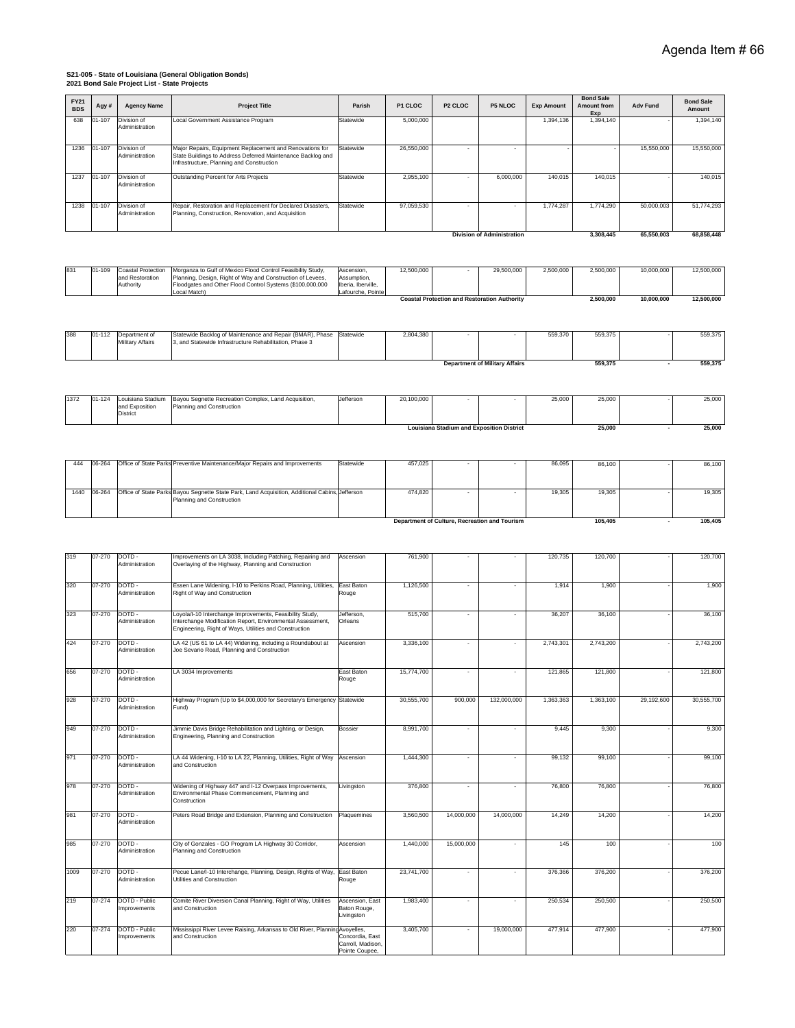## **2021 Bond Sale Project List - State Projects S21-005 - State of Louisiana (General Obligation Bonds)**

| FY21<br><b>BDS</b> | Agy#         | <b>Agency Name</b>                  | <b>Project Title</b>                                                                                                                                                             | Parish                                                 | P1 CLOC    | P <sub>2</sub> CLOC                              | <b>P5 NLOC</b>                                      | <b>Exp Amount</b> | <b>Bond Sale</b><br><b>Amount from</b> | <b>Adv Fund</b>       | <b>Bond Sale</b><br>Amount |
|--------------------|--------------|-------------------------------------|----------------------------------------------------------------------------------------------------------------------------------------------------------------------------------|--------------------------------------------------------|------------|--------------------------------------------------|-----------------------------------------------------|-------------------|----------------------------------------|-----------------------|----------------------------|
| 638                | 01-107       | Division of<br>Administration       | Local Government Assistance Program                                                                                                                                              | Statewide                                              | 5,000,000  |                                                  |                                                     | 1,394,136         | Exp<br>1,394,140                       |                       | 1,394,140                  |
|                    |              |                                     |                                                                                                                                                                                  |                                                        |            |                                                  |                                                     |                   |                                        |                       |                            |
| 1236               | 01-107       | Division of<br>Administration       | Major Repairs, Equipment Replacement and Renovations for<br>State Buildings to Address Deferred Maintenance Backlog and<br>Infrastructure, Planning and Construction             | Statewide                                              | 26,550,000 | $\overline{\phantom{a}}$                         |                                                     |                   |                                        | 15,550,000            | 15,550,000                 |
| 1237               | 01-107       | Division of<br>Administration       | Outstanding Percent for Arts Projects                                                                                                                                            | Statewide                                              | 2,955,100  |                                                  | 6,000,000                                           | 140,015           | 140,015                                |                       | 140,015                    |
| 1238               | $01 - 107$   | Division of                         | Repair, Restoration and Replacement for Declared Disasters,                                                                                                                      | Statewide                                              | 97,059,530 | $\sim$                                           | $\sim$                                              | 1,774,287         | 1,774,290                              | 50,000,003            | 51,774,293                 |
|                    |              | Administration                      | Planning, Construction, Renovation, and Acquisition                                                                                                                              |                                                        |            |                                                  |                                                     |                   |                                        |                       |                            |
|                    |              |                                     |                                                                                                                                                                                  |                                                        |            |                                                  | <b>Division of Administration</b>                   |                   | 3,308,445                              | 65,550,003            | 68,858,448                 |
| 831                | 01-109       | <b>Coastal Protection</b>           | Morganza to Gulf of Mexico Flood Control Feasibility Study,                                                                                                                      | Ascension,                                             | 12,500,000 |                                                  | 29,500,000                                          | 2,500,000         | 2,500,000                              | 10,000,000            | 12,500,000                 |
|                    |              | and Restoration<br>Authority        | Planning, Design, Right of Way and Construction of Levees,<br>Floodgates and Other Flood Control Systems (\$100,000,000<br>Local Match)                                          | Assumption,<br>Iberia, Iberville,<br>Lafourche, Pointe |            |                                                  |                                                     |                   |                                        |                       |                            |
|                    |              |                                     |                                                                                                                                                                                  |                                                        |            |                                                  | <b>Coastal Protection and Restoration Authority</b> |                   | 2,500,000                              | 10,000,000            | 12,500,000                 |
|                    |              |                                     |                                                                                                                                                                                  |                                                        |            |                                                  |                                                     |                   |                                        |                       |                            |
| 388                | 01-112       | Department of<br>Military Affairs   | Statewide Backlog of Maintenance and Repair (BMAR), Phase<br>3, and Statewide Infrastructure Rehabilitation, Phase 3                                                             | Statewide                                              | 2,804,380  |                                                  |                                                     | 559,370           | 559,375                                |                       | 559,375                    |
|                    |              |                                     |                                                                                                                                                                                  |                                                        |            |                                                  | <b>Department of Military Affairs</b>               |                   | 559,375                                |                       | 559,375                    |
|                    |              |                                     |                                                                                                                                                                                  |                                                        |            |                                                  |                                                     |                   |                                        |                       |                            |
| 1372               | $01 - 124$   | Louisiana Stadium<br>and Exposition | Bayou Segnette Recreation Complex, Land Acquisition,<br>Planning and Construction                                                                                                | Jefferson                                              | 20,100,000 |                                                  |                                                     | 25,000            | 25,000                                 |                       | 25,000                     |
|                    |              | District                            |                                                                                                                                                                                  |                                                        |            | <b>Louisiana Stadium and Exposition District</b> |                                                     |                   | 25,000                                 |                       | 25,000                     |
|                    |              |                                     |                                                                                                                                                                                  |                                                        |            |                                                  |                                                     |                   |                                        |                       |                            |
|                    |              |                                     |                                                                                                                                                                                  |                                                        |            |                                                  |                                                     |                   |                                        |                       |                            |
| 444                | 06-264       |                                     | Office of State Parks Preventive Maintenance/Major Repairs and Improvements                                                                                                      | Statewide                                              | 457,025    |                                                  |                                                     | 86,095            | 86,100                                 |                       | 86,100                     |
| 1440               | 06-264       |                                     | Office of State Parks Bayou Segnette State Park, Land Acquisition, Additional Cabins, Jefferson<br>Planning and Construction                                                     |                                                        | 474,820    |                                                  |                                                     | 19,305            | 19,305                                 |                       | 19,305                     |
|                    |              |                                     |                                                                                                                                                                                  |                                                        |            |                                                  |                                                     |                   |                                        |                       |                            |
|                    |              |                                     |                                                                                                                                                                                  |                                                        |            | Department of Culture, Recreation and Tourism    |                                                     |                   | 105,405                                | $\tilde{\phantom{a}}$ | 105,405                    |
|                    |              |                                     |                                                                                                                                                                                  |                                                        |            |                                                  |                                                     |                   |                                        |                       |                            |
| 319                | 07-270       | DOTD-<br>Administration             | Improvements on LA 3038, Including Patching, Repairing and<br>Overlaying of the Highway, Planning and Construction                                                               | Ascension                                              | 761,900    |                                                  |                                                     | 120,735           | 120,700                                |                       | 120,700                    |
|                    |              |                                     |                                                                                                                                                                                  |                                                        |            |                                                  |                                                     |                   |                                        |                       |                            |
| 320                | 07-270       | DOTD-<br>Administration             | Essen Lane Widening, I-10 to Perkins Road, Planning, Utilities,<br>Right of Way and Construction                                                                                 | East Baton<br>Rouge                                    | 1,126,500  |                                                  |                                                     | 1,914             | 1,900                                  |                       | 1,900                      |
| 323                | 07-270       | DOTD-<br>Administration             | Loyola/I-10 Interchange Improvements, Feasibility Study,<br>Interchange Modification Report, Environmental Assessment,<br>Engineering, Right of Ways, Utilities and Construction | Jefferson,<br>Orleans                                  | 515,700    | $\overline{\phantom{a}}$                         | $\overline{\phantom{a}}$                            | 36,207            | 36,100                                 |                       | 36,100                     |
| 424                | 07-270       | DOTD-                               | LA 42 (US 61 to LA 44) Widening, including a Roundabout at                                                                                                                       | Ascension                                              | 3,336,100  | ÷,                                               | $\overline{\phantom{a}}$                            | 2,743,301         | 2,743,200                              |                       | 2,743,200                  |
|                    |              | Administration                      | Joe Sevario Road, Planning and Construction                                                                                                                                      |                                                        |            |                                                  |                                                     |                   |                                        |                       |                            |
| 656                | 07-270 DOTD- | Administration                      | LA 3034 Improvements                                                                                                                                                             | East Baton<br>Rouge                                    | 15,774,700 | ÷                                                |                                                     | 121,865           | 121,800                                |                       | 121,800                    |
| 928                | 07-270       | DOTD-                               | Highway Program (Up to \$4,000,000 for Secretary's Emergency Statewide                                                                                                           |                                                        | 30,555,700 | 900,000                                          | 132,000,000                                         | 1,363,363         | 1,363,100                              | 29,192,600            | 30,555,700                 |
|                    |              | Administration                      | Fund)                                                                                                                                                                            |                                                        |            |                                                  |                                                     |                   |                                        |                       |                            |
| 949                | 07-270       | DOTD-<br>Administration             | Jimmie Davis Bridge Rehabilitation and Lighting, or Design,<br>Engineering, Planning and Construction                                                                            | <b>Bossier</b>                                         | 8,991,700  | $\overline{\phantom{a}}$                         | ٠                                                   | 9,445             | 9,300                                  |                       | 9,300                      |
| 971                | 07-270       | DOTD-<br>Administration             | LA 44 Widening, I-10 to LA 22, Planning, Utilities, Right of Way<br>and Construction                                                                                             | Ascension                                              | 1,444,300  | $\blacksquare$                                   | $\overline{\phantom{a}}$                            | 99,132            | 99,100                                 |                       | 99,100                     |
| 978                | 07-270       | DOTD-                               | Widening of Highway 447 and I-12 Overpass Improvements,                                                                                                                          | Livingston                                             | 376,800    | $\blacksquare$                                   | $\sim$                                              | 76,800            | 76,800                                 |                       | 76,800                     |
|                    |              | Administration                      | Environmental Phase Commencement, Planning and<br>Construction                                                                                                                   |                                                        |            |                                                  |                                                     |                   |                                        |                       |                            |
| 981                | 07-270       | DOTD-<br>Administration             | Peters Road Bridge and Extension, Planning and Construction                                                                                                                      | Plaquemines                                            | 3,560,500  | 14,000,000                                       | 14,000,000                                          | 14,249            | 14,200                                 |                       | 14,200                     |
| 985                | 07-270       | DOTD-<br>Administration             | City of Gonzales - GO Program LA Highway 30 Corridor,<br>Planning and Construction                                                                                               | Ascension                                              | 1,440,000  | 15,000,000                                       | $\bar{a}$                                           | 145               | 100                                    |                       | 100                        |
| 1009               | 07-270       | DOTD-<br>Administration             | Pecue Lane/I-10 Interchange, Planning, Design, Rights of Way, East Baton<br>Utilities and Construction                                                                           | Rouge                                                  | 23,741,700 | $\blacksquare$                                   | $\overline{\phantom{a}}$                            | 376,366           | 376,200                                |                       | 376,200                    |
|                    |              |                                     |                                                                                                                                                                                  |                                                        |            |                                                  |                                                     |                   |                                        |                       |                            |
| 219                | 07-274       | DOTD - Public<br>mprovements        | Comite River Diversion Canal Planning, Right of Way, Utilities<br>and Construction                                                                                               | Ascension, East<br>Baton Rouge,<br>Livingston          | 1,983,400  | $\overline{\phantom{a}}$                         |                                                     | 250,534           | 250,500                                |                       | 250,500                    |
| 220                | 07-274       | DOTD - Public                       | Mississippi River Levee Raising, Arkansas to Old River, Planning Avoyelles,                                                                                                      |                                                        | 3,405,700  | $\overline{\phantom{a}}$                         | 19,000,000                                          | 477,914           | 477,900                                |                       | 477,900                    |
|                    |              | mprovements                         | and Construction                                                                                                                                                                 | Concordia, East<br>Carroll, Madison,<br>Pointe Coupee, |            |                                                  |                                                     |                   |                                        |                       |                            |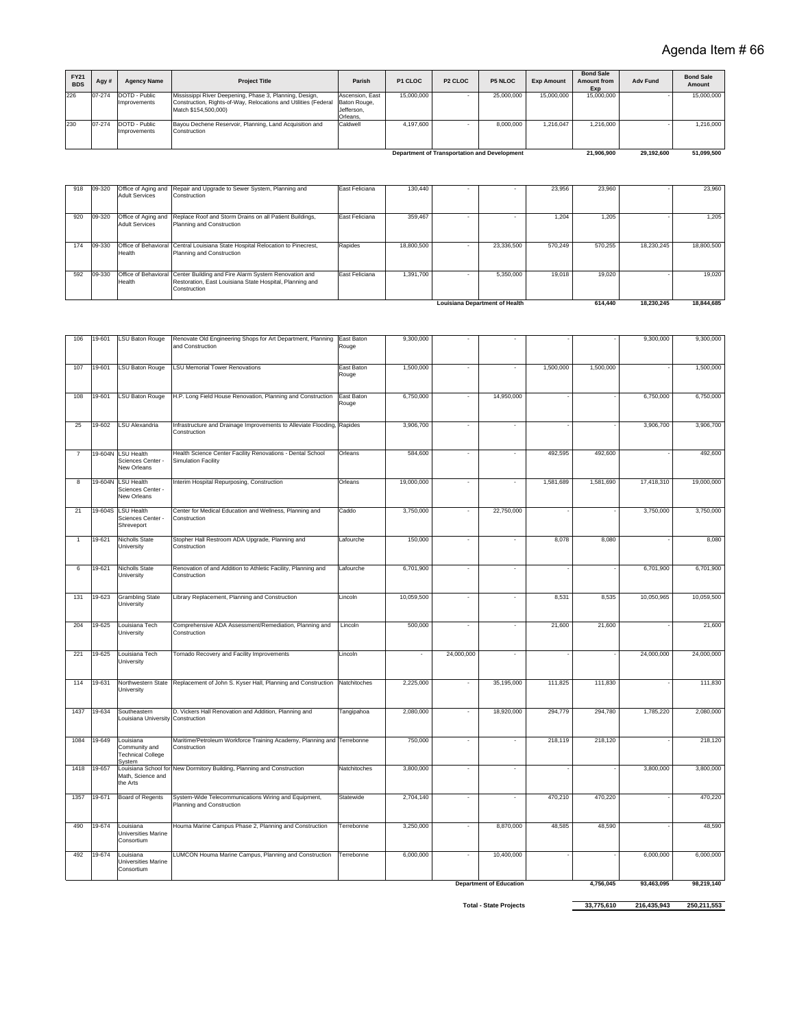| FY21<br><b>BDS</b> | Agy #  | <b>Agency Name</b>            | <b>Project Title</b>                                                                                                                               | Parish                                                    | P1 CLOC    | P <sub>2</sub> CLOC | <b>P5 NLOC</b>                                      | <b>Exp Amount</b> | <b>Bond Sale</b><br>Amount from<br>Exp | <b>Adv Fund</b> | <b>Bond Sale</b><br>Amount |
|--------------------|--------|-------------------------------|----------------------------------------------------------------------------------------------------------------------------------------------------|-----------------------------------------------------------|------------|---------------------|-----------------------------------------------------|-------------------|----------------------------------------|-----------------|----------------------------|
| 226                | 07-274 | DOTD - Public<br>Improvements | Mississippi River Deepening, Phase 3, Planning, Design,<br>Construction, Rights-of-Way, Relocations and Utilities (Federal<br>Match \$154,500,000) | Ascension, East<br>Baton Rouge,<br>Jefferson.<br>Orleans, | 15,000,000 |                     | 25,000,000                                          | 15,000,000        | 15,000,000                             |                 | 15,000,000                 |
| 230                | 07-274 | DOTD - Public<br>Improvements | Bayou Dechene Reservoir, Planning, Land Acquisition and<br>Construction                                                                            | Caldwell                                                  | 4.197.600  |                     | 8.000.000                                           | .216.047          | 1.216.000                              |                 | 1.216.000                  |
|                    |        |                               |                                                                                                                                                    |                                                           |            |                     | <b>Department of Transportation and Development</b> |                   | 21.906.900                             | 29.192.600      | 51.099.500                 |

|               |                                              |                                                                                                                                                       |                |            | <b>Louisiana Department of Health</b> |         | 614,440 | 18.230.245 | 18.844.685 |
|---------------|----------------------------------------------|-------------------------------------------------------------------------------------------------------------------------------------------------------|----------------|------------|---------------------------------------|---------|---------|------------|------------|
| 592<br>09-330 | Health                                       | Office of Behavioral Center Building and Fire Alarm System Renovation and<br>Restoration, East Louisiana State Hospital, Planning and<br>Construction | East Feliciana | 1.391.700  | 5.350.000                             | 19.018  | 19.020  |            | 19,020     |
| 09-330<br>174 | Health                                       | Office of Behavioral Central Louisiana State Hospital Relocation to Pinecrest,<br>Planning and Construction                                           | Rapides        | 18,800,500 | 23.336.500                            | 570.249 | 570.255 | 18,230,245 | 18,800,500 |
| 09-320<br>920 | Office of Aging and<br><b>Adult Services</b> | Replace Roof and Storm Drains on all Patient Buildings,<br>Planning and Construction                                                                  | East Feliciana | 359.467    |                                       | 1.204   | 1.205   |            | 1.205      |
| 09-320<br>918 | <b>Adult Services</b>                        | Office of Aging and Repair and Upgrade to Sewer System, Planning and<br>Construction                                                                  | East Feliciana | 130,440    |                                       | 23.956  | 23,960  |            | 23.960     |

| na Department of Health |  |
|-------------------------|--|

 **614,440 18,230,245 18,844,685** 9,300,000 - - - - 9,300,000 9,300,000 9,300,000 9,400,000 9,400,000 9,500,000 9,500,000 9,500,000 9,500,000 9,500,000 9,500,000 9,500,000 9,500,000 9,500,000 9,500,000 9,500,000 9,500,000 9,500,000 9,500,000 9,500,000 9,50

| 106            | 19-601  | <b>LSU Baton Rouge</b>                                           | Renovate Old Engineering Shops for Art Department, Planning<br>and Construction          | East Baton<br>Rouge | 9,300,000  |                          |                                |           |           | 9,300,000  | 9,300,000  |
|----------------|---------|------------------------------------------------------------------|------------------------------------------------------------------------------------------|---------------------|------------|--------------------------|--------------------------------|-----------|-----------|------------|------------|
| 107            | 19-601  | <b>LSU Baton Rouge</b>                                           | <b>LSU Memorial Tower Renovations</b>                                                    | East Baton<br>Rouge | 1,500,000  | $\overline{\phantom{a}}$ |                                | 1,500,000 | 1,500,000 |            | 1,500,000  |
| 108            | 19-601  | <b>LSU Baton Rouge</b>                                           | H.P. Long Field House Renovation, Planning and Construction                              | East Baton<br>Rouge | 6,750,000  | $\sim$                   | 14,950,000                     |           |           | 6,750,000  | 6,750,000  |
| 25             | 19-602  | <b>LSU Alexandria</b>                                            | Infrastructure and Drainage Improvements to Alleviate Flooding, Rapides<br>Construction  |                     | 3,906,700  |                          |                                |           |           | 3,906,700  | 3,906,700  |
| $\overline{7}$ | 19-604N | <b>LSU Health</b><br>Sciences Center -<br>New Orleans            | Health Science Center Facility Renovations - Dental School<br><b>Simulation Facility</b> | Orleans             | 584,600    |                          |                                | 492,595   | 492,600   |            | 492,600    |
| 8              | 19-604N | <b>LSU Health</b><br>Sciences Center -<br>New Orleans            | Interim Hospital Repurposing, Construction                                               | Orleans             | 19,000,000 |                          |                                | 1,581,689 | 1,581,690 | 17,418,310 | 19,000,000 |
| 21             | 19-604S | <b>LSU Health</b><br>Sciences Center -<br>Shreveport             | Center for Medical Education and Wellness, Planning and<br>Construction                  | Caddo               | 3,750,000  |                          | 22,750,000                     |           |           | 3,750,000  | 3,750,000  |
|                | 19-621  | Nicholls State<br>University                                     | Stopher Hall Restroom ADA Upgrade, Planning and<br>Construction                          | Lafourche           | 150,000    |                          |                                | 8,078     | 8,080     |            | 8,080      |
| 6              | 19-621  | <b>Nicholls State</b><br>University                              | Renovation of and Addition to Athletic Facility, Planning and<br>Construction            | Lafourche           | 6,701,900  | ٠                        | $\overline{\phantom{a}}$       |           |           | 6,701,900  | 6,701,900  |
| 131            | 19-623  | <b>Grambling State</b><br>University                             | Library Replacement, Planning and Construction                                           | Lincoln             | 10,059,500 |                          |                                | 8,531     | 8,535     | 10,050,965 | 10,059,500 |
| 204            | 19-625  | Louisiana Tech<br>University                                     | Comprehensive ADA Assessment/Remediation, Planning and<br>Construction                   | Lincoln             | 500,000    |                          |                                | 21,600    | 21,600    |            | 21,600     |
| 221            | 19-625  | Louisiana Tech<br>University                                     | Tornado Recovery and Facility Improvements                                               | Lincoln             | ä,         | 24,000,000               |                                |           |           | 24,000,000 | 24,000,000 |
| 114            | 19-631  | Northwestern State<br>University                                 | Replacement of John S. Kyser Hall, Planning and Construction                             | Natchitoches        | 2,225,000  |                          | 35,195,000                     | 111,825   | 111,830   |            | 111,830    |
| 1437           | 19-634  | Southeastern<br>Louisiana University Construction                | D. Vickers Hall Renovation and Addition, Planning and                                    | Tangipahoa          | 2,080,000  | ٠                        | 18,920,000                     | 294,779   | 294,780   | 1,785,220  | 2,080,000  |
| 1084           | 19-649  | Louisiana<br>Community and<br><b>Technical College</b><br>System | Maritime/Petroleum Workforce Training Academy, Planning and Terrebonne<br>Construction   |                     | 750,000    |                          |                                | 218,119   | 218,120   |            | 218,120    |
| 1418           | 19-657  | Math, Science and<br>the Arts                                    | Louisiana School for New Dormitory Building, Planning and Construction                   | Natchitoches        | 3,800,000  | $\overline{\phantom{a}}$ | $\overline{\phantom{a}}$       |           |           | 3,800,000  | 3,800,000  |
| 1357           | 19-671  | <b>Board of Regents</b>                                          | System-Wide Telecommunications Wiring and Equipment,<br>Planning and Construction        | Statewide           | 2,704,140  |                          |                                | 470,210   | 470,220   |            | 470.220    |
| 490            | 19-674  | Louisiana<br>Universities Marine<br>Consortium                   | Houma Marine Campus Phase 2, Planning and Construction                                   | Terrebonne          | 3,250,000  |                          | 8,870,000                      | 48,585    | 48,590    |            | 48,590     |
| 492            | 19-674  | Louisiana<br>Universities Marine<br>Consortium                   | LUMCON Houma Marine Campus, Planning and Construction                                    | Terrebonne          | 6,000,000  |                          | 10,400,000                     |           |           | 6,000,000  | 6,000,000  |
|                |         |                                                                  |                                                                                          |                     |            |                          | <b>Department of Education</b> |           | 4,756,045 | 93,463,095 | 98,219,140 |

**Total - State Projects 33,775,610 216,435,943 250,211,553**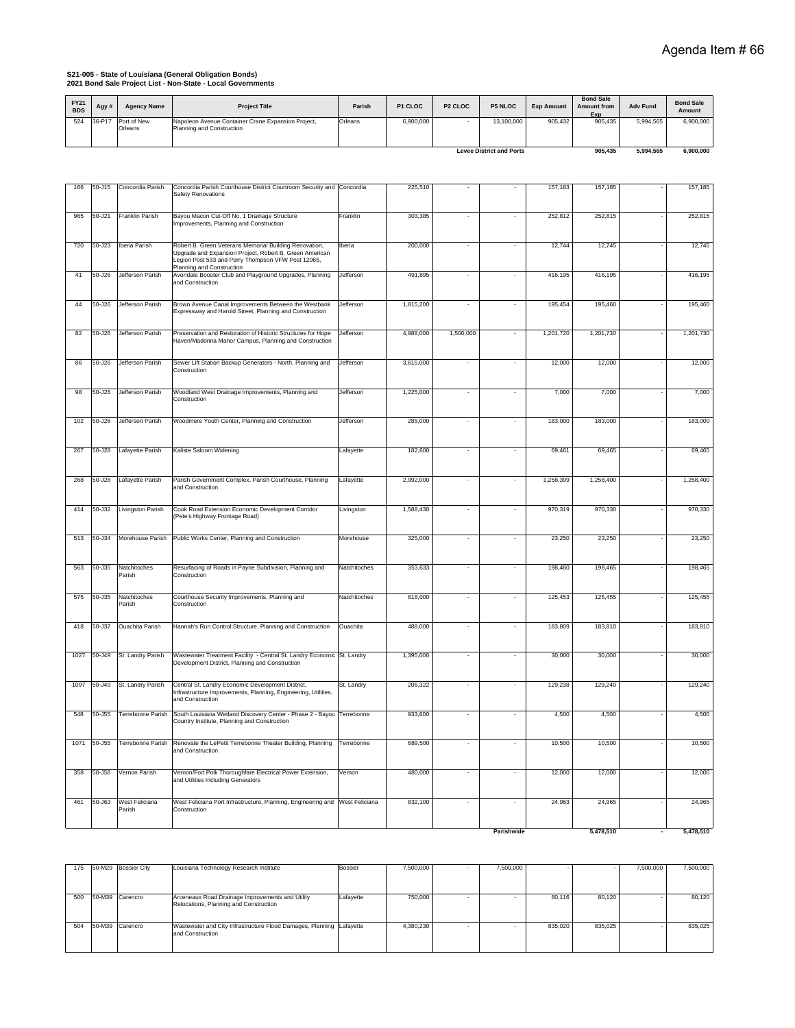# **S21-005 - State of Louisiana (General Obligation Bonds) 2021 Bond Sale Project List - Non-State - Local Governments**

| <b>FY21</b><br><b>BDS</b> | Agy ∤  | <b>Agency Name</b>     | <b>Project Title</b>                                                            | Parish  | P1 CLOC   | P <sub>2</sub> CLOC | <b>P5 NLOC</b>                  | <b>Exp Amount</b> | <b>Bond Sale</b><br><b>Amount from</b><br>Exp | <b>Adv Fund</b> | <b>Bond Sale</b><br>Amount |
|---------------------------|--------|------------------------|---------------------------------------------------------------------------------|---------|-----------|---------------------|---------------------------------|-------------------|-----------------------------------------------|-----------------|----------------------------|
| 524                       | 36-P17 | Port of New<br>Orleans | Napoleon Avenue Container Crane Expansion Project,<br>Planning and Construction | Orleans | 6,900,000 |                     | 13.100.000                      | 905.432           | 905.435                                       | 5.994.565       | 6,900,000                  |
|                           |        |                        |                                                                                 |         |           |                     | <b>Levee District and Ports</b> |                   | 905.435                                       | 5.994.565       | 6,900,000                  |

| 166  | 50-J15     | Concordia Parish         | Concordia Parish Courthouse District Courtroom Security and Concordia<br>Safety Renovations                                                                                                          |              | 225,510   |                          |                          | 157,183   | 157,185   | 157,185   |
|------|------------|--------------------------|------------------------------------------------------------------------------------------------------------------------------------------------------------------------------------------------------|--------------|-----------|--------------------------|--------------------------|-----------|-----------|-----------|
| 965  | 50-J21     | Franklin Parish          | Bayou Macon Cut-Off No. 1 Drainage Structure<br>Improvements, Planning and Construction                                                                                                              | Franklin     | 303,385   | ÷,                       |                          | 252,812   | 252,815   | 252,815   |
| 720  | $50 - J23$ | Iberia Parish            | Robert B. Green Veterans Memorial Building Renovation,<br>Upgrade and Expansion Project, Robert B. Green American<br>Legion Post 533 and Perry Thompson VFW Post 12065,<br>Planning and Construction | Iberia       | 200,000   | $\sim$                   | ٠                        | 12,744    | 12,745    | 12,745    |
| 41   | 50-J26     | Jefferson Parish         | Avondale Booster Club and Playground Upgrades, Planning<br>and Construction                                                                                                                          | Jefferson    | 491,895   |                          |                          | 416,195   | 416,195   | 416,195   |
| 44   | 50-J26     | Jefferson Parish         | Brown Avenue Canal Improvements Between the Westbank<br>Expressway and Harold Street, Planning and Construction                                                                                      | Jefferson    | 1,815,200 |                          |                          | 195,454   | 195,460   | 195,460   |
| 82   | 50-J26     | Jefferson Parish         | Preservation and Restoration of Historic Structures for Hope<br>Haven/Madonna Manor Campus, Planning and Construction                                                                                | Jefferson    | 4,988,000 | 1,500,000                |                          | 1,201,720 | 1,201,730 | 1,201,730 |
| 86   | 50-J26     | Jefferson Parish         | Sewer Lift Station Backup Generators - North, Planning and<br>Construction                                                                                                                           | Jefferson    | 3,615,000 |                          |                          | 12,000    | 12,000    | 12,000    |
| 98   | 50-J26     | Jefferson Parish         | Woodland West Drainage Improvements, Planning and<br>Construction                                                                                                                                    | Jefferson    | 1,225,000 | $\sim$                   | ÷,                       | 7,000     | 7,000     | 7,000     |
| 102  | 50-J26     | Jefferson Parish         | Woodmere Youth Center, Planning and Construction                                                                                                                                                     | Jefferson    | 285,000   | $\sim$                   | $\sim$                   | 183,000   | 183,000   | 183,000   |
| 267  | 50-J28     | Lafayette Parish         | Kaliste Saloom Widening                                                                                                                                                                              | Lafayette    | 182,600   |                          |                          | 69,461    | 69,465    | 69,465    |
| 268  | 50-J28     | Lafayette Parish         | Parish Government Complex, Parish Courthouse, Planning<br>and Construction                                                                                                                           | Lafayette    | 2,992,000 | $\sim$                   | $\overline{\phantom{a}}$ | 1,258,399 | 1,258,400 | 1,258,400 |
| 414  | 50-J32     | Livingston Parish        | Cook Road Extension Economic Development Corridor<br>(Pete's Highway Frontage Road)                                                                                                                  | Livingston   | 1,588,430 | $\sim$                   | ÷,                       | 970,319   | 970,330   | 970,330   |
| 513  | 50-J34     | Morehouse Parish         | Public Works Center, Planning and Construction                                                                                                                                                       | Morehouse    | 325,000   | $\sim$                   | $\sim$                   | 23,250    | 23,250    | 23,250    |
| 563  | 50-J35     | Natchitoches<br>Parish   | Resurfacing of Roads in Payne Subdivision, Planning and<br>Construction                                                                                                                              | Natchitoches | 353,633   |                          | ÷,                       | 198,460   | 198,465   | 198,465   |
| 575  | 50-J35     | Natchitoches<br>Parish   | Courthouse Security Improvements, Planning and<br>Construction                                                                                                                                       | Natchitoches | 818,000   | ÷,                       | ٠                        | 125,453   | 125,455   | 125,455   |
| 418  | $50 - J37$ | <b>Ouachita Parish</b>   | Hannah's Run Control Structure, Planning and Construction                                                                                                                                            | Ouachita     | 488,000   | $\sim$                   | $\sim$                   | 183,809   | 183,810   | 183,810   |
| 1027 | 50-J49     | St. Landry Parish        | Wastewater Treatment Facility - Central St. Landry Economic St. Landry<br>Development District, Planning and Construction                                                                            |              | 1,395,000 |                          |                          | 30,000    | 30,000    | 30,000    |
| 1097 | 50-J49     | St. Landry Parish        | Central St. Landry Economic Development District,<br>Infrastructure Improvements, Planning, Engineering, Utilities,<br>and Construction                                                              | St. Landry   | 206,322   |                          |                          | 129,238   | 129,240   | 129,240   |
| 548  | 50-J55     | Terrebonne Parish        | South Louisiana Wetland Discovery Center - Phase 2 - Bayou Terrebonne<br>Country Institute, Planning and Construction                                                                                |              | 933,600   | $\sim$                   | $\sim$                   | 4,500     | 4,500     | 4,500     |
| 1071 | 50-J55     | <b>Terrebonne Parish</b> | Renovate the LePetit Terrebonne Theater Building, Planning<br>and Construction                                                                                                                       | Terrebonne   | 689,500   | $\overline{\phantom{a}}$ |                          | 10,500    | 10,500    | 10,500    |
| 358  | 50-J58     | Vernon Parish            | Vernon/Fort Polk Thoroughfare Electrical Power Extension,<br>and Utilities Including Generators                                                                                                      | Vernon       | 480,000   | $\sim$                   | $\sim$                   | 12,000    | 12,000    | 12,000    |
| 461  | 50-J63     | West Feliciana<br>Parish | West Feliciana Port Infrastructure, Planning, Engineering and West Feliciana<br>Construction                                                                                                         |              | 832,100   | ÷,                       |                          | 24,963    | 24,965    | 24,965    |
|      |            |                          |                                                                                                                                                                                                      |              |           |                          | Parishwide               |           | 5.478.510 | 5,478,510 |

| 175 | 50-M29 Bossier City | Louisiana Technology Research Institute                                                    | <b>Bossier</b> | 7.500.000 | . . | 7,500,000 |         |         | 7,500,000 | 7,500,000 |
|-----|---------------------|--------------------------------------------------------------------------------------------|----------------|-----------|-----|-----------|---------|---------|-----------|-----------|
|     |                     |                                                                                            |                |           |     |           |         |         |           |           |
| 500 | 50-M39 Carencro     | Arceneaux Road Drainage Improvements and Utility<br>Relocations, Planning and Construction | Lafayette      | 750,000   |     |           | 80.116  | 80.120  |           | 80.120    |
| 504 | 50-M39 Carencro     | Wastewater and City Infrastructure Flood Damages, Planning Lafayette<br>and Construction   |                | 4.380.230 |     |           | 835.020 | 835.025 |           | 835.025   |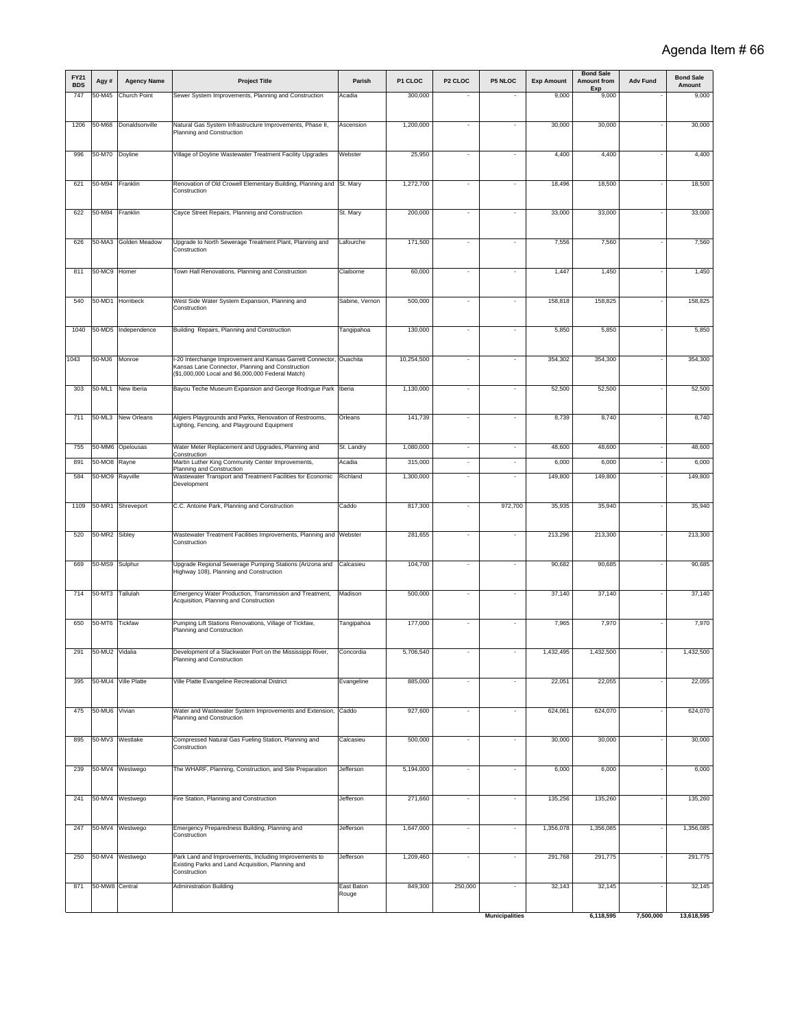| <b>FY21</b><br><b>BDS</b> | Agy #           | <b>Agency Name</b>   | <b>Project Title</b>                                                                                   | Parish              | P1 CLOC    | P <sub>2</sub> CLOC      | P5 NLOC                  | <b>Exp Amount</b> | <b>Bond Sale</b><br><b>Amount from</b> | <b>Adv Fund</b> | <b>Bond Sale</b><br>Amount |
|---------------------------|-----------------|----------------------|--------------------------------------------------------------------------------------------------------|---------------------|------------|--------------------------|--------------------------|-------------------|----------------------------------------|-----------------|----------------------------|
| 747                       | 50-M45          | Church Point         | Sewer System Improvements, Planning and Construction                                                   | Acadia              | 300,000    |                          |                          | 9,000             | Exp<br>9,000                           |                 | 9,000                      |
|                           |                 |                      |                                                                                                        |                     |            |                          |                          |                   |                                        |                 |                            |
| 1206                      | 50-M68          | Donaldsonville       | Natural Gas System Infrastructure Improvements, Phase II,<br>Planning and Construction                 | Ascension           | 1,200,000  | $\sim$                   | $\sim$                   | 30,000            | 30,000                                 |                 | 30,000                     |
| 996                       | 50-M70          | Doyline              | Village of Doyline Wastewater Treatment Facility Upgrades                                              | Webster             | 25,950     | $\overline{\phantom{a}}$ | $\overline{\phantom{a}}$ | 4,400             | 4,400                                  |                 | 4,400                      |
|                           |                 |                      |                                                                                                        |                     |            |                          |                          |                   |                                        |                 |                            |
| 621                       | 50-M94          | Franklin             | Renovation of Old Crowell Elementary Building, Planning and<br>Construction                            | St. Mary            | 1,272,700  | $\sim$                   | $\sim$                   | 18,496            | 18,500                                 |                 | 18,500                     |
| 622                       | 50-M94          | Franklin             | Cayce Street Repairs, Planning and Construction                                                        | St. Mary            | 200,000    |                          | $\blacksquare$           | 33,000            | 33,000                                 |                 | 33,000                     |
| 626                       | 50-MA3          | <b>Golden Meadow</b> | Upgrade to North Sewerage Treatment Plant, Planning and<br>Construction                                | Lafourche           | 171,500    | $\sim$                   | ÷,                       | 7,556             | 7,560                                  |                 | 7,560                      |
| 811                       | 50-MC9 Homer    |                      | Town Hall Renovations, Planning and Construction                                                       | Claiborne           | 60,000     |                          |                          | 1,447             | 1,450                                  |                 | 1,450                      |
| 540                       | 50-MD1          | Hornbeck             | West Side Water System Expansion, Planning and                                                         | Sabine, Vernon      | 500,000    | $\overline{\phantom{a}}$ |                          | 158,818           | 158,825                                |                 | 158,825                    |
|                           |                 |                      | Construction                                                                                           |                     |            |                          |                          |                   |                                        |                 |                            |
| 1040                      |                 | 50-MD5 Independence  | Building Repairs, Planning and Construction                                                            | Tangipahoa          | 130,000    |                          |                          | 5,850             | 5,850                                  |                 | 5,850                      |
| 1043                      | 50-MJ6          | Monroe               | -20 Interchange Improvement and Kansas Garrett Connector, Ouachita                                     |                     | 10,254,500 | $\sim$                   |                          | 354,302           | 354,300                                |                 | 354,300                    |
|                           |                 |                      | Kansas Lane Connector, Planning and Construction<br>(\$1,000,000 Local and \$6,000,000 Federal Match)  |                     |            |                          |                          |                   |                                        |                 |                            |
| 303                       | 50-ML1          | New Iberia           | Bayou Teche Museum Expansion and George Rodrigue Park   Iberia                                         |                     | 1,130,000  | $\overline{\phantom{a}}$ |                          | 52,500            | 52,500                                 |                 | 52,500                     |
| 711                       | 50-ML3          | New Orleans          | Algiers Playgrounds and Parks, Renovation of Restrooms,<br>Lighting, Fencing, and Playground Equipment | Orleans             | 141,739    | $\sim$                   | ÷,                       | 8,739             | 8,740                                  |                 | 8,740                      |
| 755                       |                 | 50-MM6 Opelousas     | Water Meter Replacement and Upgrades, Planning and<br>Construction                                     | St. Landry          | 1,080,000  | $\overline{\phantom{a}}$ | $\overline{\phantom{a}}$ | 48,600            | 48,600                                 |                 | 48,600                     |
| 891                       | 50-MO8 Rayne    |                      | Martin Luther King Community Center Improvements,                                                      | Acadia              | 315,000    | $\overline{\phantom{a}}$ | $\Delta$                 | 6,000             | 6,000                                  |                 | 6,000                      |
| 584                       | 50-MO9 Rayville |                      | Planning and Construction<br>Wastewater Transport and Treatment Facilities for Economic<br>Development | Richland            | 1,300,000  | ÷,                       | ä,                       | 149,800           | 149,800                                |                 | 149,800                    |
| 1109                      | 50-MR1          | Shreveport           | C.C. Antoine Park, Planning and Construction                                                           | Caddo               | 817,300    | $\overline{\phantom{a}}$ | 972,700                  | 35,935            | 35,940                                 |                 | 35,940                     |
| 520                       | 50-MR2          | Sibley               | Wastewater Treatment Facilities Improvements, Planning and Webster<br>Construction                     |                     | 281,655    | ÷,                       | ä,                       | 213,296           | 213,300                                |                 | 213,300                    |
| 669                       | 50-MS9 Sulphur  |                      | Upgrade Regional Sewerage Pumping Stations (Arizona and<br>Highway 108), Planning and Construction     | Calcasieu           | 104,700    | $\overline{\phantom{a}}$ | ٠                        | 90,682            | 90,685                                 |                 | 90,685                     |
| 714                       | 50-MT3 Tallulah |                      | Emergency Water Production, Transmission and Treatment,<br>Acquisition, Planning and Construction      | Madison             | 500,000    | $\overline{\phantom{a}}$ | ٠                        | 37,140            | 37,140                                 |                 | 37,140                     |
| 650                       | 50-MT6 Tickfaw  |                      | Pumping Lift Stations Renovations, Village of Tickfaw,<br>Planning and Construction                    | Tangipahoa          | 177,000    | $\overline{\phantom{a}}$ | ٠                        | 7,965             | 7,970                                  |                 | 7,970                      |
| 291                       | 50-MU2 Vidalia  |                      | Development of a Slackwater Port on the Mississippi River<br>Planning and Construction                 | Concordia           | 5,706,540  |                          |                          | 1,432,495         |                                        |                 | 1,432,500                  |
|                           |                 |                      |                                                                                                        |                     |            |                          |                          |                   |                                        |                 |                            |
| 395                       |                 | 50-MU4 Ville Platte  | Ville Platte Evangeline Recreational District                                                          | Evangeline          | 885,000    | $\overline{\phantom{a}}$ | $\overline{\phantom{a}}$ | 22,051            | 22,055                                 |                 | 22,055                     |
| 475                       | 50-MU6 Vivian   |                      | Water and Wastewater System Improvements and Extension,<br>Planning and Construction                   | Caddo               | 927,600    | $\sim$                   | $\bar{\phantom{a}}$      | 624,061           | 624,070                                |                 | 624,070                    |
| 895                       |                 | 50-MV3 Westlake      | Compressed Natural Gas Fueling Station, Planning and<br>Construction                                   | Calcasieu           | 500,000    | $\sim$                   | ٠                        | 30,000            | 30,000                                 |                 | 30,000                     |
| 239                       |                 | 50-MV4 Westwego      | The WHARF, Planning, Construction, and Site Preparation                                                | Jefferson           | 5,194,000  | $\sim$                   | ٠                        | 6,000             | 6,000                                  |                 | 6,000                      |
|                           |                 |                      |                                                                                                        |                     |            |                          |                          |                   |                                        |                 |                            |
| 241                       |                 | 50-MV4 Westwego      | Fire Station, Planning and Construction                                                                | Jefferson           | 271,660    | $\sim$                   | ٠                        | 135,256           | 135,260                                |                 | 135,260                    |
| 247                       |                 | 50-MV4 Westwego      | Emergency Preparedness Building, Planning and<br>Construction                                          | Jefferson           | 1,647,000  | $\sim$                   | ٠                        | 1,356,078         | 1,356,085                              |                 | 1,356,085                  |
| 250                       |                 | 50-MV4 Westwego      | Park Land and Improvements, Including Improvements to                                                  | Jefferson           | 1,209,460  | $\overline{\phantom{a}}$ | ٠                        | 291,768           | 291,775                                |                 | 291,775                    |
|                           |                 |                      | Existing Parks and Land Acquisition, Planning and<br>Construction                                      |                     |            |                          |                          |                   |                                        |                 |                            |
| 871                       | 50-MW8 Central  |                      | <b>Administration Building</b>                                                                         | East Baton<br>Rouge | 849,300    | 250,000                  | ÷                        | 32,143            | 32,145                                 |                 | 32,145                     |
|                           |                 |                      |                                                                                                        |                     |            |                          | <b>Municipalities</b>    |                   | 6,118,595                              | 7,500,000       | 13,618,595                 |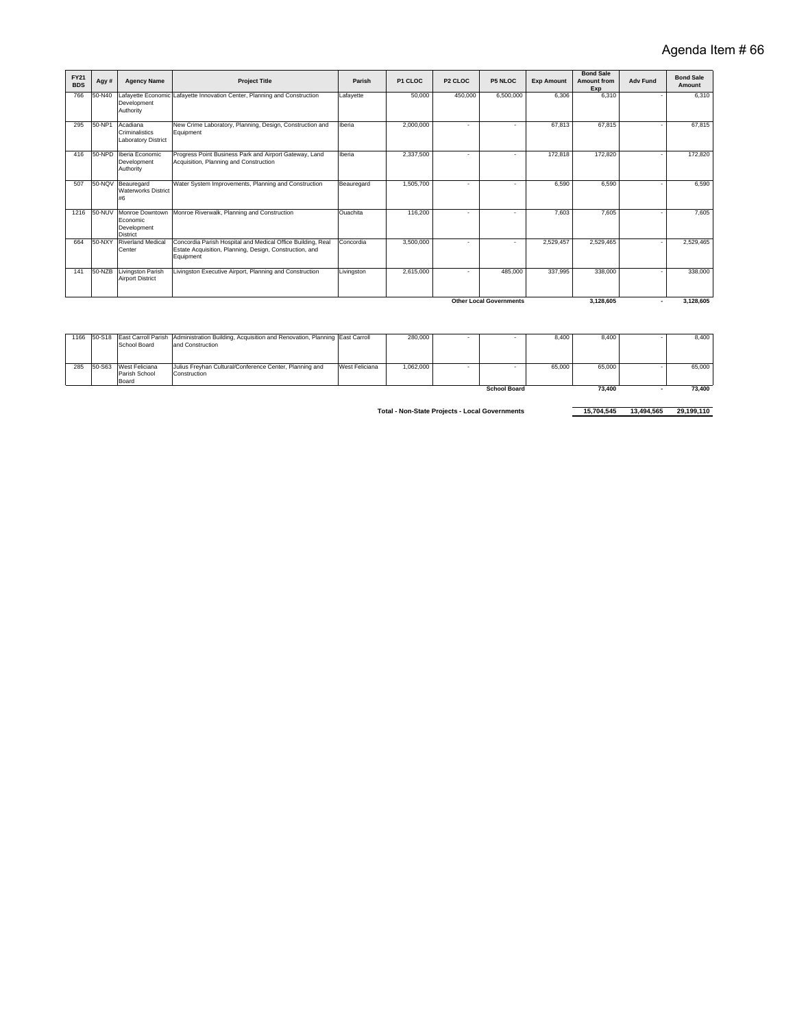| <b>FY21</b><br><b>BDS</b> | Agy#   | <b>Agency Name</b>                                            | <b>Project Title</b>                                                                                                                | Parish          | P1 CLOC   | P <sub>2</sub> CLOC      | <b>P5 NLOC</b>                 | <b>Exp Amount</b> | <b>Bond Sale</b><br>Amount from<br>Exp | <b>Adv Fund</b> | <b>Bond Sale</b><br>Amount |
|---------------------------|--------|---------------------------------------------------------------|-------------------------------------------------------------------------------------------------------------------------------------|-----------------|-----------|--------------------------|--------------------------------|-------------------|----------------------------------------|-----------------|----------------------------|
| 766                       | 50-N40 | Development<br>Authority                                      | Lafayette Economic Lafayette Innovation Center, Planning and Construction                                                           | Lafayette       | 50,000    | 450,000                  | 6,500,000                      | 6.306             | 6,310                                  |                 | 6.310                      |
| 295                       | 50-NP1 | Acadiana<br>Criminalistics<br><b>Laboratory District</b>      | New Crime Laboratory, Planning, Design, Construction and<br>Equipment                                                               | Iberia          | 2,000,000 | ٠                        |                                | 67,813            | 67.815                                 |                 | 67.815                     |
| 416                       | 50-NPD | Iberia Economic<br>Development<br>Authority                   | Progress Point Business Park and Airport Gateway, Land<br>Acquisition, Planning and Construction                                    | Iberia          | 2.337.500 | ٠                        |                                | 172.818           | 172,820                                |                 | 172,820                    |
| 507                       | 50-NQV | Beauregard<br><b>Waterworks District</b><br>#6                | Water System Improvements, Planning and Construction                                                                                | Beauregard      | 1,505,700 | ÷                        |                                | 6.590             | 6.590                                  |                 | 6.590                      |
| 1216                      | 50-NUV | Monroe Downtown<br>Economic<br>Development<br><b>District</b> | Monroe Riverwalk, Planning and Construction                                                                                         | <b>Ouachita</b> | 116,200   | $\overline{\phantom{a}}$ |                                | 7.603             | 7,605                                  |                 | 7.605                      |
| 664                       | 50-NXY | <b>Riverland Medical</b><br>Center                            | Concordia Parish Hospital and Medical Office Building, Real<br>Estate Acquisition, Planning, Design, Construction, and<br>Equipment | Concordia       | 3,500,000 | $\overline{\phantom{a}}$ | $\overline{\phantom{a}}$       | 2.529.457         | 2.529.465                              |                 | 2.529.465                  |
| 141                       | 50-NZB | Livingston Parish<br><b>Airport District</b>                  | Livingston Executive Airport, Planning and Construction                                                                             | Livingston      | 2,615,000 | $\overline{\phantom{a}}$ | 485.000                        | 337.995           | 338,000                                |                 | 338,000                    |
|                           |        |                                                               |                                                                                                                                     |                 |           |                          | <b>Other Local Governments</b> |                   | 3,128,605                              |                 | 3,128,605                  |

|     |        |                | 1166 50-S18 East Carroll Parish Administration Building, Acquisition and Renovation, Planning East Carroll |                | 280,000   |                     | 8.400  | 8,400  | 8,400  |
|-----|--------|----------------|------------------------------------------------------------------------------------------------------------|----------------|-----------|---------------------|--------|--------|--------|
|     |        | School Board   | and Construction                                                                                           |                |           |                     |        |        |        |
|     |        |                |                                                                                                            |                |           |                     |        |        |        |
| 285 | 50-S63 | West Feliciana | Julius Freyhan Cultural/Conference Center, Planning and                                                    | West Feliciana | 1,062,000 |                     | 65,000 | 65,000 | 65,000 |
|     |        |                |                                                                                                            |                |           |                     |        |        |        |
|     |        | Parish School  | Construction                                                                                               |                |           |                     |        |        |        |
|     |        | Board          |                                                                                                            |                |           |                     |        |        |        |
|     |        |                |                                                                                                            |                |           | <b>School Board</b> |        | 73.400 | 73.400 |
|     |        |                |                                                                                                            |                |           |                     |        |        |        |

**Total - Non-State Projects - Local Governments** 15,704,545 13,494,565 29,199,110